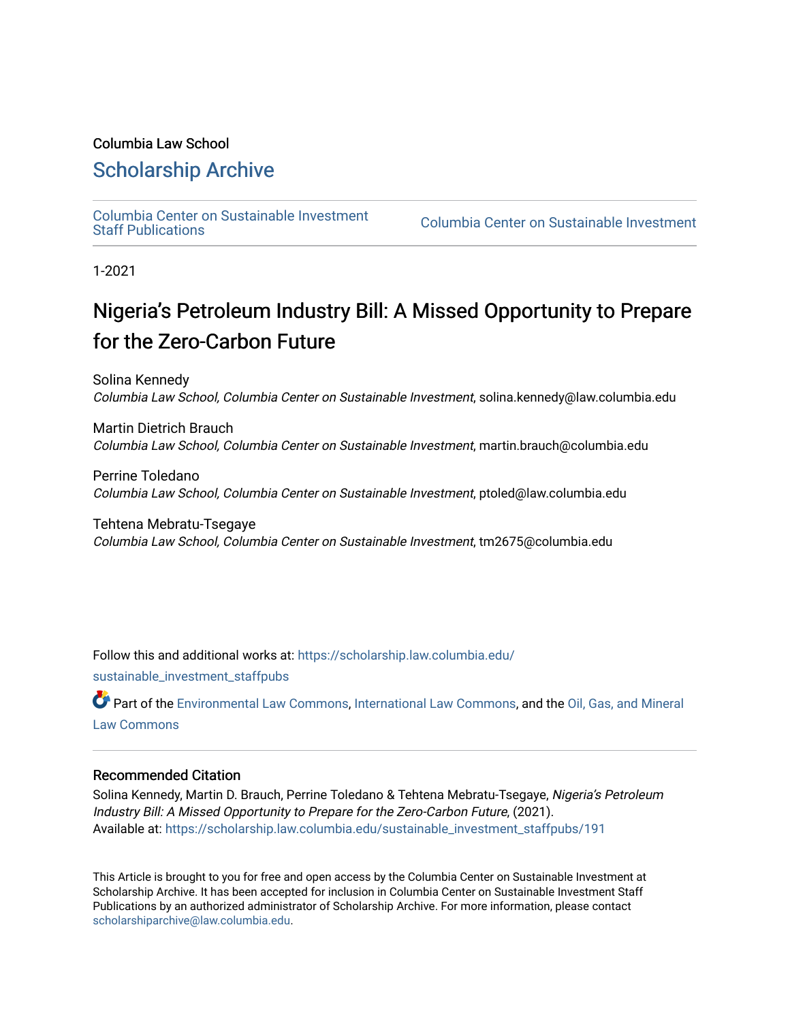#### Columbia Law School

### [Scholarship Archive](https://scholarship.law.columbia.edu/)

[Columbia Center on Sustainable Investment](https://scholarship.law.columbia.edu/sustainable_investment_staffpubs) 

Columbia Center on Sustainable Investment

1-2021

## Nigeria's Petroleum Industry Bill: A Missed Opportunity to Prepare for the Zero-Carbon Future

Solina Kennedy Columbia Law School, Columbia Center on Sustainable Investment, solina.kennedy@law.columbia.edu

Martin Dietrich Brauch Columbia Law School, Columbia Center on Sustainable Investment, martin.brauch@columbia.edu

Perrine Toledano Columbia Law School, Columbia Center on Sustainable Investment, ptoled@law.columbia.edu

Tehtena Mebratu-Tsegaye Columbia Law School, Columbia Center on Sustainable Investment, tm2675@columbia.edu

Follow this and additional works at: [https://scholarship.law.columbia.edu/](https://scholarship.law.columbia.edu/sustainable_investment_staffpubs?utm_source=scholarship.law.columbia.edu%2Fsustainable_investment_staffpubs%2F191&utm_medium=PDF&utm_campaign=PDFCoverPages)

[sustainable\\_investment\\_staffpubs](https://scholarship.law.columbia.edu/sustainable_investment_staffpubs?utm_source=scholarship.law.columbia.edu%2Fsustainable_investment_staffpubs%2F191&utm_medium=PDF&utm_campaign=PDFCoverPages)

Part of the [Environmental Law Commons](http://network.bepress.com/hgg/discipline/599?utm_source=scholarship.law.columbia.edu%2Fsustainable_investment_staffpubs%2F191&utm_medium=PDF&utm_campaign=PDFCoverPages), [International Law Commons](http://network.bepress.com/hgg/discipline/609?utm_source=scholarship.law.columbia.edu%2Fsustainable_investment_staffpubs%2F191&utm_medium=PDF&utm_campaign=PDFCoverPages), and the [Oil, Gas, and Mineral](http://network.bepress.com/hgg/discipline/864?utm_source=scholarship.law.columbia.edu%2Fsustainable_investment_staffpubs%2F191&utm_medium=PDF&utm_campaign=PDFCoverPages) [Law Commons](http://network.bepress.com/hgg/discipline/864?utm_source=scholarship.law.columbia.edu%2Fsustainable_investment_staffpubs%2F191&utm_medium=PDF&utm_campaign=PDFCoverPages) 

#### Recommended Citation

Solina Kennedy, Martin D. Brauch, Perrine Toledano & Tehtena Mebratu-Tsegaye, Nigeria's Petroleum Industry Bill: A Missed Opportunity to Prepare for the Zero-Carbon Future, (2021). Available at: [https://scholarship.law.columbia.edu/sustainable\\_investment\\_staffpubs/191](https://scholarship.law.columbia.edu/sustainable_investment_staffpubs/191?utm_source=scholarship.law.columbia.edu%2Fsustainable_investment_staffpubs%2F191&utm_medium=PDF&utm_campaign=PDFCoverPages) 

This Article is brought to you for free and open access by the Columbia Center on Sustainable Investment at Scholarship Archive. It has been accepted for inclusion in Columbia Center on Sustainable Investment Staff Publications by an authorized administrator of Scholarship Archive. For more information, please contact [scholarshiparchive@law.columbia.edu](mailto:scholarshiparchive@law.columbia.edu).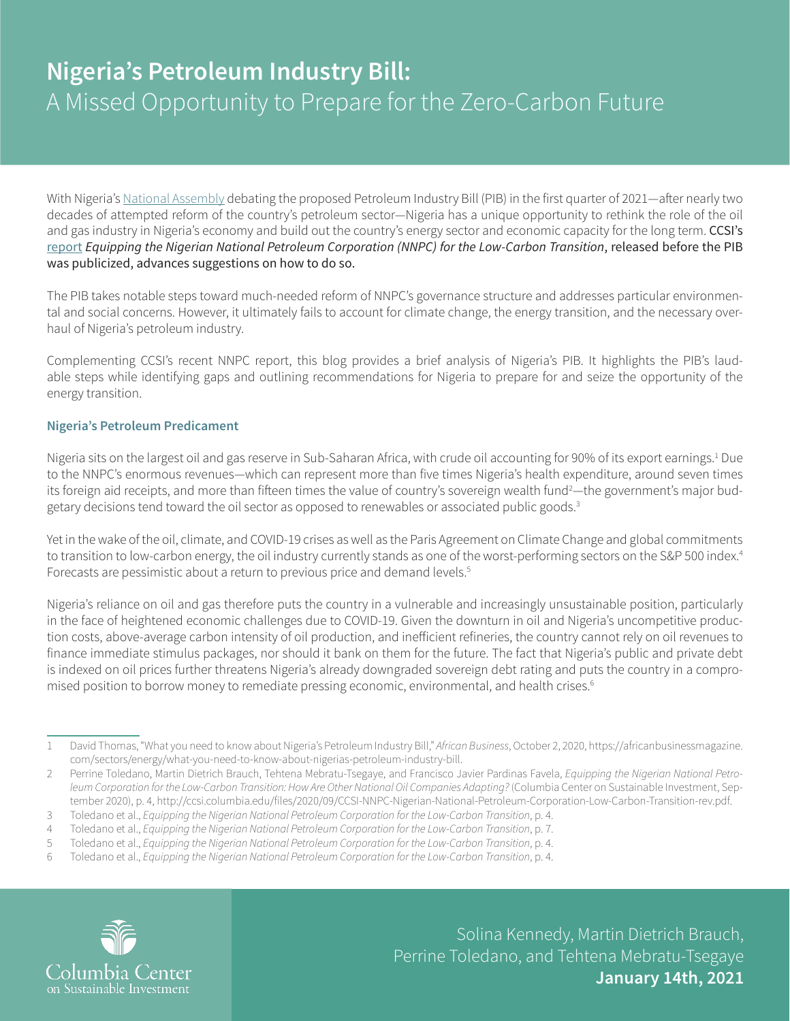# **Nigeria's Petroleum Industry Bill:**  A Missed Opportunity to Prepare for the Zero-Carbon Future

With Nigeria's [National Assembly](https://www.nassnig.org/documents/bill/11011) debating the proposed Petroleum Industry Bill (PIB) in the first quarter of 2021—after nearly two decades of attempted reform of the country's petroleum sector—Nigeria has a unique opportunity to rethink the role of the oil and gas industry in Nigeria's economy and build out the country's energy sector and economic capacity for the long term. CCSI's [report](http://ccsi.columbia.edu/files/2020/09/CCSI-NNPC-Nigerian-National-Petroleum-Corporation-Low-Carbon-Transition-rev.pdf) *Equipping the Nigerian National Petroleum Corporation (NNPC) for the Low-Carbon Transition*, released before the PIB was publicized, advances suggestions on how to do so.

The PIB takes notable steps toward much-needed reform of NNPC's governance structure and addresses particular environmental and social concerns. However, it ultimately fails to account for climate change, the energy transition, and the necessary overhaul of Nigeria's petroleum industry.

Complementing CCSI's recent NNPC report, this blog provides a brief analysis of Nigeria's PIB. It highlights the PIB's laudable steps while identifying gaps and outlining recommendations for Nigeria to prepare for and seize the opportunity of the energy transition.

#### **Nigeria's Petroleum Predicament**

Nigeria sits on the largest oil and gas reserve in Sub-Saharan Africa, with crude oil accounting for 90% of its export earnings.<sup>1</sup> Due to the NNPC's enormous revenues—which can represent more than five times Nigeria's health expenditure, around seven times its foreign aid receipts, and more than fifteen times the value of country's sovereign wealth fund<sup>2</sup>—the government's major budgetary decisions tend toward the oil sector as opposed to renewables or associated public goods.<sup>3</sup>

Yet in the wake of the oil, climate, and COVID-19 crises as well as the Paris Agreement on Climate Change and global commitments to transition to low-carbon energy, the oil industry currently stands as one of the worst-performing sectors on the S&P 500 index.<sup>4</sup> Forecasts are pessimistic about a return to previous price and demand levels.<sup>5</sup>

Nigeria's reliance on oil and gas therefore puts the country in a vulnerable and increasingly unsustainable position, particularly in the face of heightened economic challenges due to COVID-19. Given the downturn in oil and Nigeria's uncompetitive production costs, above-average carbon intensity of oil production, and inefficient refineries, the country cannot rely on oil revenues to finance immediate stimulus packages, nor should it bank on them for the future. The fact that Nigeria's public and private debt is indexed on oil prices further threatens Nigeria's already downgraded sovereign debt rating and puts the country in a compromised position to borrow money to remediate pressing economic, environmental, and health crises.<sup>6</sup>

<sup>6</sup> Toledano et al., *Equipping the Nigerian National Petroleum Corporation for the Low-Carbon Transition*, p. 4.



Solina Kennedy, Martin Dietrich Brauch, Perrine Toledano, and Tehtena Mebratu-Tsegaye **January 14th, 2021**

<sup>1</sup> David Thomas, "What you need to know about Nigeria's Petroleum Industry Bill," *African Business*, October 2, 2020, [https://africanbusinessmagazine.](https://africanbusinessmagazine.com/sectors/energy/what-you-need-to-know-about-nigerias-petroleum-industry-bill) [com/sectors/energy/what-you-need-to-know-about-nigerias-petroleum-industry-bill.](https://africanbusinessmagazine.com/sectors/energy/what-you-need-to-know-about-nigerias-petroleum-industry-bill)

<sup>2</sup> Perrine Toledano, Martin Dietrich Brauch, Tehtena Mebratu-Tsegaye, and Francisco Javier Pardinas Favela, *Equipping the Nigerian National Petroleum Corporation for the Low-Carbon Transition: How Are Other National Oil Companies Adapting?* (Columbia Center on Sustainable Investment, September 2020), p. 4, [http://ccsi.columbia.edu/files/2020/09/CCSI-NNPC-Nigerian-National-Petroleum-Corporation-Low-Carbon-Transition-rev.pdf.](http://ccsi.columbia.edu/files/2020/09/CCSI-NNPC-Nigerian-National-Petroleum-Corporation-Low-Carbon-Transition-rev.pdf)

<sup>3</sup> Toledano et al., *Equipping the Nigerian National Petroleum Corporation for the Low-Carbon Transition*, p. 4.

<sup>4</sup> Toledano et al., *Equipping the Nigerian National Petroleum Corporation for the Low-Carbon Transition*, p. 7.

<sup>5</sup> Toledano et al., *Equipping the Nigerian National Petroleum Corporation for the Low-Carbon Transition*, p. 4.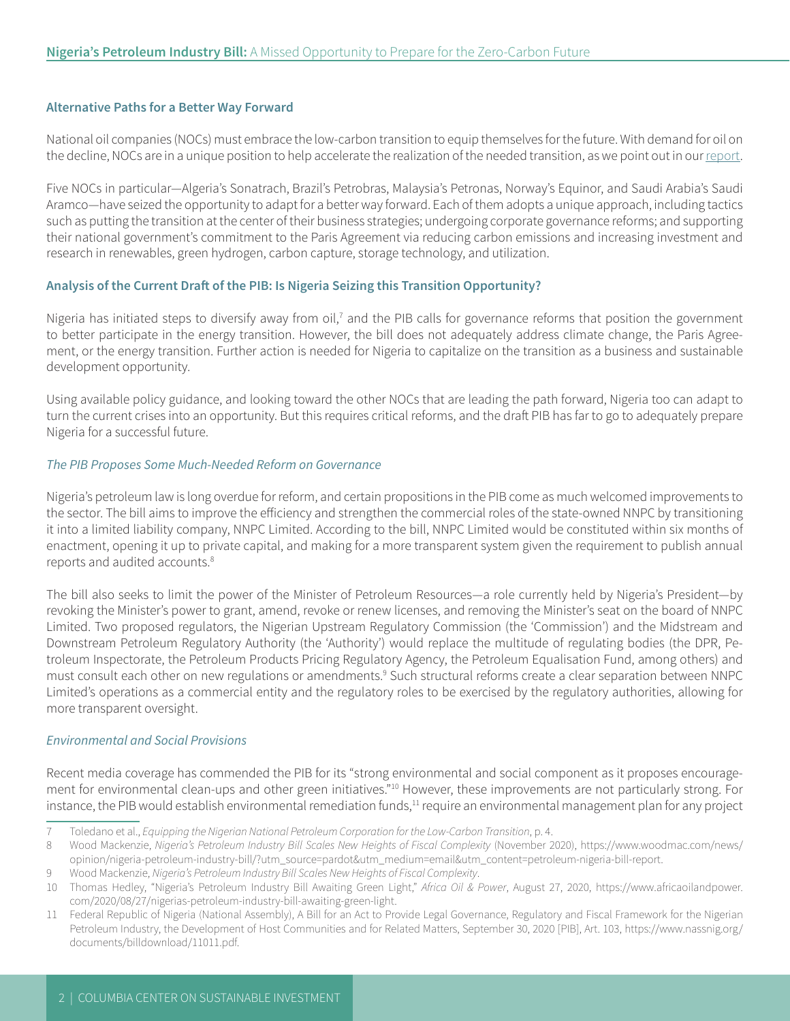#### **Alternative Paths for a Better Way Forward**

National oil companies (NOCs) must embrace the low-carbon transition to equip themselves for the future. With demand for oil on the decline, NOCs are in a unique position to help accelerate the realization of the needed transition, as we point out in our [report.](http://ccsi.columbia.edu/files/2020/09/CCSI-NNPC-Nigerian-National-Petroleum-Corporation-Low-Carbon-Transition-rev.pdf)

Five NOCs in particular—Algeria's Sonatrach, Brazil's Petrobras, Malaysia's Petronas, Norway's Equinor, and Saudi Arabia's Saudi Aramco—have seized the opportunity to adapt for a better way forward. Each of them adopts a unique approach, including tactics such as putting the transition at the center of their business strategies; undergoing corporate governance reforms; and supporting their national government's commitment to the Paris Agreement via reducing carbon emissions and increasing investment and research in renewables, green hydrogen, carbon capture, storage technology, and utilization.

#### **Analysis of the Current Draft of the PIB: Is Nigeria Seizing this Transition Opportunity?**

Nigeria has initiated steps to diversify away from oil,<sup>7</sup> and the PIB calls for governance reforms that position the government to better participate in the energy transition. However, the bill does not adequately address climate change, the Paris Agreement, or the energy transition. Further action is needed for Nigeria to capitalize on the transition as a business and sustainable development opportunity.

Using available policy guidance, and looking toward the other NOCs that are leading the path forward, Nigeria too can adapt to turn the current crises into an opportunity. But this requires critical reforms, and the draft PIB has far to go to adequately prepare Nigeria for a successful future.

#### *The PIB Proposes Some Much-Needed Reform on Governance*

Nigeria's petroleum law is long overdue for reform, and certain propositions in the PIB come as much welcomed improvements to the sector. The bill aims to improve the efficiency and strengthen the commercial roles of the state-owned NNPC by transitioning it into a limited liability company, NNPC Limited. According to the bill, NNPC Limited would be constituted within six months of enactment, opening it up to private capital, and making for a more transparent system given the requirement to publish annual reports and audited accounts.<sup>8</sup>

The bill also seeks to limit the power of the Minister of Petroleum Resources—a role currently held by Nigeria's President—by revoking the Minister's power to grant, amend, revoke or renew licenses, and removing the Minister's seat on the board of NNPC Limited. Two proposed regulators, the Nigerian Upstream Regulatory Commission (the 'Commission') and the Midstream and Downstream Petroleum Regulatory Authority (the 'Authority') would replace the multitude of regulating bodies (the DPR, Petroleum Inspectorate, the Petroleum Products Pricing Regulatory Agency, the Petroleum Equalisation Fund, among others) and must consult each other on new regulations or amendments.<sup>9</sup> Such structural reforms create a clear separation between NNPC Limited's operations as a commercial entity and the regulatory roles to be exercised by the regulatory authorities, allowing for more transparent oversight.

#### *Environmental and Social Provisions*

Recent media coverage has commended the PIB for its "strong environmental and social component as it proposes encouragement for environmental clean-ups and other green initiatives."10 However, these improvements are not particularly strong. For instance, the PIB would establish environmental remediation funds,<sup>11</sup> require an environmental management plan for any project

<sup>7</sup> Toledano et al., *Equipping the Nigerian National Petroleum Corporation for the Low-Carbon Transition*, p. 4.

<sup>8</sup> Wood Mackenzie, *Nigeria's Petroleum Industry Bill Scales New Heights of Fiscal Complexity* (November 2020), [https://www.woodmac.com/news/](https://www.woodmac.com/news/opinion/nigeria-petroleum-industry-bill/?utm_source=pardot&utm_medium=email&utm_content=petroleum-nigeria-bill-report) [opinion/nigeria-petroleum-industry-bill/?utm\\_source=pardot&utm\\_medium=email&utm\\_content=petroleum-nigeria-bill-report](https://www.woodmac.com/news/opinion/nigeria-petroleum-industry-bill/?utm_source=pardot&utm_medium=email&utm_content=petroleum-nigeria-bill-report).

<sup>9</sup> Wood Mackenzie, *Nigeria's Petroleum Industry Bill Scales New Heights of Fiscal Complexity*.

<sup>10</sup> Thomas Hedley, "Nigeria's Petroleum Industry Bill Awaiting Green Light," *Africa Oil & Power*, August 27, 2020, [https://www.africaoilandpower.](https://www.africaoilandpower.com/2020/08/27/nigerias-petroleum-industry-bill-awaiting-green-light) [com/2020/08/27/nigerias-petroleum-industry-bill-awaiting-green-light.](https://www.africaoilandpower.com/2020/08/27/nigerias-petroleum-industry-bill-awaiting-green-light)

<sup>11</sup> Federal Republic of Nigeria (National Assembly), A Bill for an Act to Provide Legal Governance, Regulatory and Fiscal Framework for the Nigerian Petroleum Industry, the Development of Host Communities and for Related Matters, September 30, 2020 [PIB], Art. 103, [https://www.nassnig.org/](https://www.nassnig.org/documents/billdownload/11011.pdf) [documents/billdownload/11011.pdf.](https://www.nassnig.org/documents/billdownload/11011.pdf)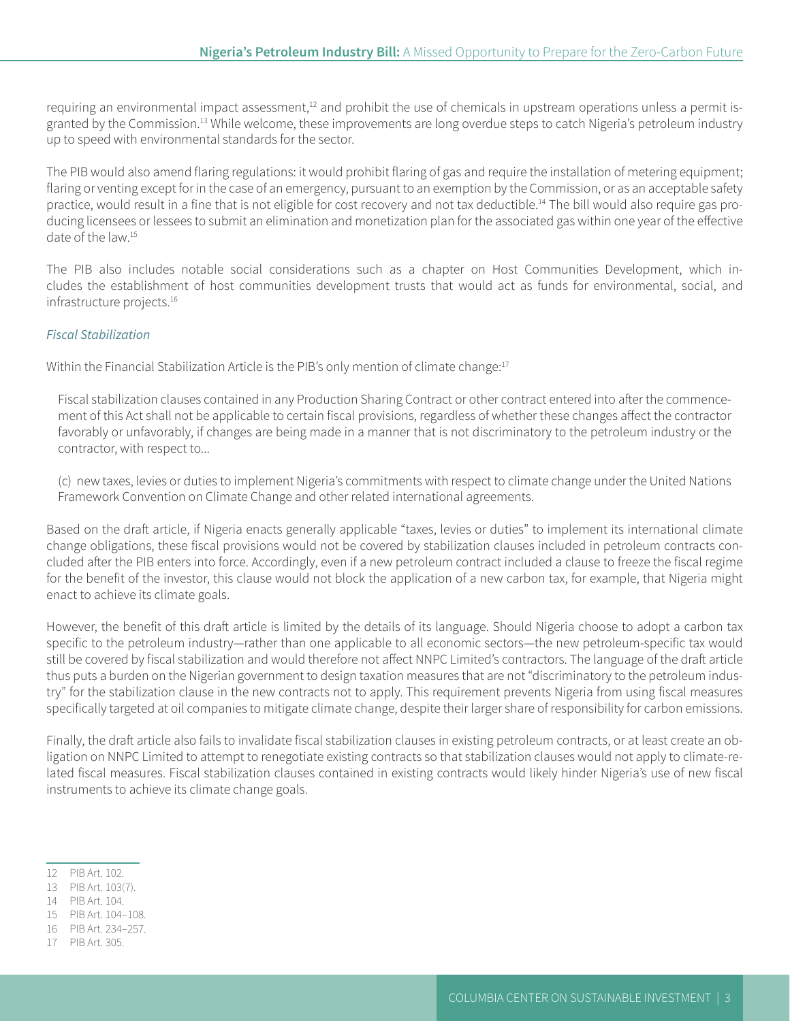requiring an environmental impact assessment, $12$  and prohibit the use of chemicals in upstream operations unless a permit isgranted by the Commission.<sup>13</sup> While welcome, these improvements are long overdue steps to catch Nigeria's petroleum industry up to speed with environmental standards for the sector.

The PIB would also amend flaring regulations: it would prohibit flaring of gas and require the installation of metering equipment; flaring or venting except for in the case of an emergency, pursuant to an exemption by the Commission, or as an acceptable safety practice, would result in a fine that is not eligible for cost recovery and not tax deductible.<sup>14</sup> The bill would also require gas producing licensees or lessees to submit an elimination and monetization plan for the associated gas within one year of the effective date of the law.15

The PIB also includes notable social considerations such as a chapter on Host Communities Development, which includes the establishment of host communities development trusts that would act as funds for environmental, social, and infrastructure projects.<sup>16</sup>

#### *Fiscal Stabilization*

Within the Financial Stabilization Article is the PIB's only mention of climate change:<sup>17</sup>

Fiscal stabilization clauses contained in any Production Sharing Contract or other contract entered into after the commencement of this Act shall not be applicable to certain fiscal provisions, regardless of whether these changes affect the contractor favorably or unfavorably, if changes are being made in a manner that is not discriminatory to the petroleum industry or the contractor, with respect to...

(c) new taxes, levies or duties to implement Nigeria's commitments with respect to climate change under the United Nations Framework Convention on Climate Change and other related international agreements.

Based on the draft article, if Nigeria enacts generally applicable "taxes, levies or duties" to implement its international climate change obligations, these fiscal provisions would not be covered by stabilization clauses included in petroleum contracts concluded after the PIB enters into force. Accordingly, even if a new petroleum contract included a clause to freeze the fiscal regime for the benefit of the investor, this clause would not block the application of a new carbon tax, for example, that Nigeria might enact to achieve its climate goals.

However, the benefit of this draft article is limited by the details of its language. Should Nigeria choose to adopt a carbon tax specific to the petroleum industry—rather than one applicable to all economic sectors—the new petroleum-specific tax would still be covered by fiscal stabilization and would therefore not affect NNPC Limited's contractors. The language of the draft article thus puts a burden on the Nigerian government to design taxation measures that are not "discriminatory to the petroleum industry" for the stabilization clause in the new contracts not to apply. This requirement prevents Nigeria from using fiscal measures specifically targeted at oil companies to mitigate climate change, despite their larger share of responsibility for carbon emissions.

Finally, the draft article also fails to invalidate fiscal stabilization clauses in existing petroleum contracts, or at least create an obligation on NNPC Limited to attempt to renegotiate existing contracts so that stabilization clauses would not apply to climate-related fiscal measures. Fiscal stabilization clauses contained in existing contracts would likely hinder Nigeria's use of new fiscal instruments to achieve its climate change goals.

<sup>12</sup> PIB Art. 102.

<sup>13</sup> PIB Art. 103(7).

<sup>14</sup> PIB Art. 104.

<sup>15</sup> PIB Art. 104–108.

<sup>16</sup> PIB Art. 234–257.

<sup>17</sup> PIB Art. 305.